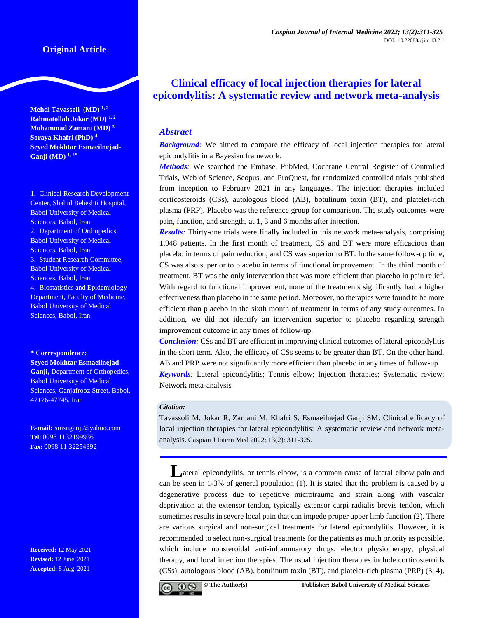# **Original Article**

**Mehdi Tavassoli (MD) 1, 2 Rahmatollah Jokar (MD) 1, 2 Mohammad Zamani (MD) <sup>3</sup> Soraya Khafri (PhD) <sup>4</sup> Seyed Mokhtar Esmaeilnejad-Ganji (MD) 1, 2\***

1. Clinical Research Development Center, Shahid Beheshti Hospital, Babol University of Medical Sciences, Babol, Iran 2. Department of Orthopedics, Babol University of Medical Sciences, Babol, Iran 3. Student Research Committee, Babol University of Medical Sciences, Babol, Iran 4. Biostatistics and Epidemiology Department, Faculty of Medicine, Babol University of Medical Sciences, Babol, Iran

**\* Correspondence: Seyed Mokhtar Esmaeilnejad-Ganji,** Department of Orthopedics, Babol University of Medical Sciences, Ganjafrooz Street, Babol, 47176-47745, Iran

**E-mail:** smsnganji@yahoo.com **Tel:** 0098 1132199936 **Fax:** 0098 11 32254392

**Received:** 12 May 2021 **Revised:** 12 June 2021 **Accepted:** 8 Aug 2021

# **Clinical efficacy of local injection therapies for lateral epicondylitis: A systematic review and network meta-analysis**

# *Abstract*

**Background:** We aimed to compare the efficacy of local injection therapies for lateral epicondylitis in a Bayesian framework.

*Methods:* We searched the Embase, PubMed, Cochrane Central Register of Controlled Trials, Web of Science, Scopus, and ProQuest, for randomized controlled trials published from inception to February 2021 in any languages. The injection therapies included corticosteroids (CSs), autologous blood (AB), botulinum toxin (BT), and platelet-rich plasma (PRP). Placebo was the reference group for comparison. The study outcomes were pain, function, and strength, at 1, 3 and 6 months after injection.

*Results:* Thirty-one trials were finally included in this network meta-analysis, comprising 1,948 patients. In the first month of treatment, CS and BT were more efficacious than placebo in terms of pain reduction, and CS was superior to BT. In the same follow-up time, CS was also superior to placebo in terms of functional improvement. In the third month of treatment, BT was the only intervention that was more efficient than placebo in pain relief. With regard to functional improvement, none of the treatments significantly had a higher effectiveness than placebo in the same period. Moreover, no therapies were found to be more efficient than placebo in the sixth month of treatment in terms of any study outcomes. In addition, we did not identify an intervention superior to placebo regarding strength improvement outcome in any times of follow-up.

*Conclusion:* CSs and BT are efficient in improving clinical outcomes of lateral epicondylitis in the short term. Also, the efficacy of CSs seems to be greater than BT. On the other hand, AB and PRP were not significantly more efficient than placebo in any times of follow-up. *Keywords:* Lateral epicondylitis; Tennis elbow; Injection therapies; Systematic review; Network meta-analysis

#### *Citation:*

Tavassoli M, Jokar R, Zamani M, Khafri S, Esmaeilnejad Ganji SM. Clinical efficacy of local injection therapies for lateral epicondylitis: A systematic review and network metaanalysis. Caspian J Intern Med 2022; 13(2): 311-325.

**Lateral epicondylitis, or tennis elbow, is a common cause of lateral elbow pain and** can be seen in 1-3% of general population (1). It is stated that the problem is caused by a degenerative process due to repetitive microtrauma and strain along with vascular deprivation at the extensor tendon, typically extensor carpi radialis brevis tendon, which sometimes results in severe local pain that can impede proper upper limb function (2). There are various surgical and non-surgical treatments for lateral epicondylitis. However, it is recommended to select non-surgical treatments for the patients as much priority as possible, which include nonsteroidal anti-inflammatory drugs, electro physiotherapy, physical therapy, and local injection therapies. The usual injection therapies include corticosteroids (CSs), autologous blood (AB), botulinum toxin (BT), and platelet-rich plasma (PRP) (3, 4).

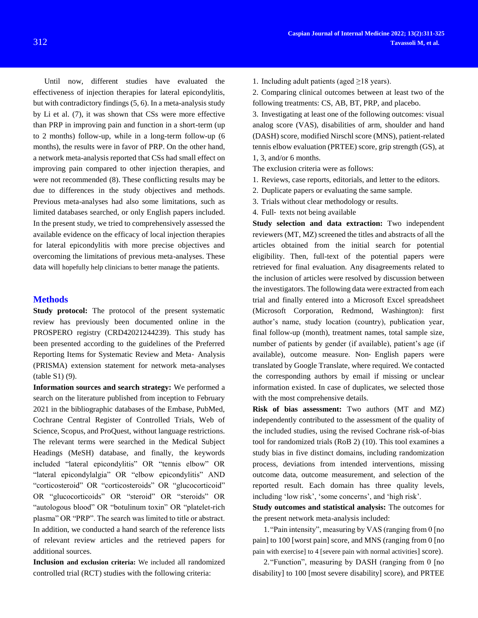Until now, different studies have evaluated the effectiveness of injection therapies for lateral epicondylitis, but with contradictory findings (5, 6). In a meta-analysis study by Li et al. (7), it was shown that CSs were more effective than PRP in improving pain and function in a short-term (up to 2 months) follow-up, while in a long-term follow-up (6 months), the results were in favor of PRP. On the other hand, a network meta-analysis reported that CSs had small effect on improving pain compared to other injection therapies, and were not recommended (8). These conflicting results may be due to differences in the study objectives and methods. Previous meta-analyses had also some limitations, such as limited databases searched, or only English papers included. In the present study, we tried to comprehensively assessed the available evidence on the efficacy of local injection therapies for lateral epicondylitis with more precise objectives and overcoming the limitations of previous meta-analyses. These data will hopefully help clinicians to better manage the patients.

### **Methods**

**Study protocol:** The protocol of the present systematic review has previously been documented online in the PROSPERO registry (CRD42021244239). This study has been presented according to the guidelines of the Preferred Reporting Items for Systematic Review and Meta‐ Analysis (PRISMA) extension statement for network meta-analyses (table S1) (9).

**Information sources and search strategy:** We performed a search on the literature published from inception to February 2021 in the bibliographic databases of the Embase, PubMed, Cochrane Central Register of Controlled Trials, Web of Science, Scopus, and ProQuest, without language restrictions. The relevant terms were searched in the Medical Subject Headings (MeSH) database, and finally, the keywords included "lateral epicondylitis" OR "tennis elbow" OR "lateral epicondylalgia" OR "elbow epicondylitis" AND "corticosteroid" OR "corticosteroids" OR "glucocorticoid" OR "glucocorticoids" OR "steroid" OR "steroids" OR "autologous blood" OR "botulinum toxin" OR "platelet-rich plasma" OR "PRP". The search was limited to title or abstract. In addition, we conducted a hand search of the reference lists of relevant review articles and the retrieved papers for additional sources.

**Inclusion and exclusion criteria:** We included all randomized controlled trial (RCT) studies with the following criteria:

- 1. Including adult patients (aged  $\geq$ 18 years).
- 2. Comparing clinical outcomes between at least two of the following treatments: CS, AB, BT, PRP, and placebo.

3. Investigating at least one of the following outcomes: visual analog score (VAS), disabilities of arm, shoulder and hand (DASH) score, modified Nirschl score (MNS), patient-related tennis elbow evaluation (PRTEE) score, grip strength (GS), at 1, 3, and/or 6 months.

The exclusion criteria were as follows:

- 1. Reviews, case reports, editorials, and letter to the editors.
- 2. Duplicate papers or evaluating the same sample.
- 3. Trials without clear methodology or results.
- 4. Full‐ texts not being available

**Study selection and data extraction:** Two independent reviewers (MT, MZ) screened the titles and abstracts of all the articles obtained from the initial search for potential eligibility. Then, full-text of the potential papers were retrieved for final evaluation. Any disagreements related to the inclusion of articles were resolved by discussion between the investigators. The following data were extracted from each trial and finally entered into a Microsoft Excel spreadsheet (Microsoft Corporation, Redmond, Washington): first author's name, study location (country), publication year, final follow-up (month), treatment names, total sample size, number of patients by gender (if available), patient's age (if available), outcome measure. Non‐ English papers were translated by Google Translate, where required. We contacted the corresponding authors by email if missing or unclear information existed. In case of duplicates, we selected those with the most comprehensive details.

**Risk of bias assessment:** Two authors (MT and MZ) independently contributed to the assessment of the quality of the included studies, using the revised Cochrane risk-of-bias tool for randomized trials (RoB 2) (10). This tool examines a study bias in five distinct domains, including randomization process, deviations from intended interventions, missing outcome data, outcome measurement, and selection of the reported result. Each domain has three quality levels, including 'low risk', 'some concerns', and 'high risk'.

**Study outcomes and statistical analysis:** The outcomes for the present network meta-analysis included:

1."Pain intensity", measuring by VAS (ranging from 0 [no pain] to 100 [worst pain] score, and MNS (ranging from 0 [no pain with exercise] to 4 [severe pain with normal activities] score).

2."Function", measuring by DASH (ranging from 0 [no disability] to 100 [most severe disability] score), and PRTEE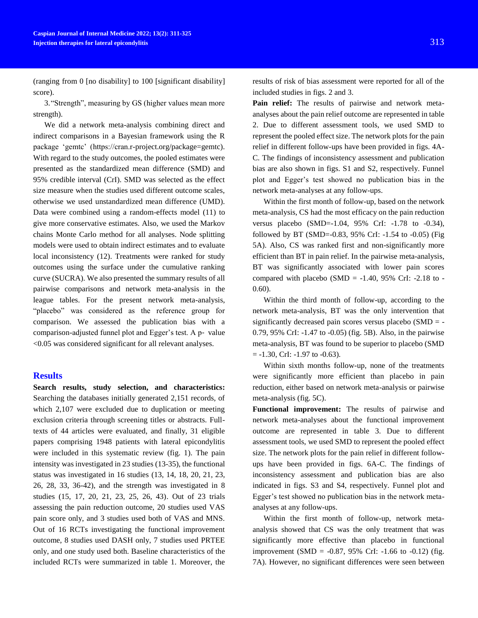(ranging from 0 [no disability] to 100 [significant disability] score).

3."Strength", measuring by GS (higher values mean more strength).

We did a network meta-analysis combining direct and indirect comparisons in a Bayesian framework using the R package 'gemtc' (https://cran.r-project.org/package=gemtc). With regard to the study outcomes, the pooled estimates were presented as the standardized mean difference (SMD) and 95% credible interval (CrI). SMD was selected as the effect size measure when the studies used different outcome scales, otherwise we used unstandardized mean difference (UMD). Data were combined using a random-effects model (11) to give more conservative estimates. Also, we used the Markov chains Monte Carlo method for all analyses. Node splitting models were used to obtain indirect estimates and to evaluate local inconsistency (12). Treatments were ranked for study outcomes using the surface under the cumulative ranking curve (SUCRA). We also presented the summary results of all pairwise comparisons and network meta-analysis in the league tables. For the present network meta-analysis, "placebo" was considered as the reference group for comparison. We assessed the publication bias with a comparison-adjusted funnel plot and Egger's test. A p‐ value <0.05 was considered significant for all relevant analyses.

## **Results**

**Search results, study selection, and characteristics:**  Searching the databases initially generated 2,151 records, of which 2,107 were excluded due to duplication or meeting exclusion criteria through screening titles or abstracts. Fulltexts of 44 articles were evaluated, and finally, 31 eligible papers comprising 1948 patients with lateral epicondylitis were included in this systematic review (fig. 1). The pain intensity was investigated in 23 studies (13-35), the functional status was investigated in 16 studies (13, 14, 18, 20, 21, 23, 26, 28, 33, 36-42), and the strength was investigated in 8 studies (15, 17, 20, 21, 23, 25, 26, 43). Out of 23 trials assessing the pain reduction outcome, 20 studies used VAS pain score only, and 3 studies used both of VAS and MNS. Out of 16 RCTs investigating the functional improvement outcome, 8 studies used DASH only, 7 studies used PRTEE only, and one study used both. Baseline characteristics of the included RCTs were summarized in table 1. Moreover, the

results of risk of bias assessment were reported for all of the included studies in figs. 2 and 3.

Pain relief: The results of pairwise and network metaanalyses about the pain relief outcome are represented in table 2. Due to different assessment tools, we used SMD to represent the pooled effect size. The network plots for the pain relief in different follow-ups have been provided in figs. 4A-C. The findings of inconsistency assessment and publication bias are also shown in figs. S1 and S2, respectively. Funnel plot and Egger's test showed no publication bias in the network meta-analyses at any follow-ups.

Within the first month of follow-up, based on the network meta-analysis, CS had the most efficacy on the pain reduction versus placebo (SMD=-1.04, 95% CrI: -1.78 to -0.34), followed by BT (SMD= $-0.83$ , 95% CrI:  $-1.54$  to  $-0.05$ ) (Fig. 5A). Also, CS was ranked first and non-significantly more efficient than BT in pain relief. In the pairwise meta-analysis, BT was significantly associated with lower pain scores compared with placebo (SMD =  $-1.40$ , 95% CrI:  $-2.18$  to  $-$ 0.60).

Within the third month of follow-up, according to the network meta-analysis, BT was the only intervention that significantly decreased pain scores versus placebo (SMD = - 0.79, 95% CrI: -1.47 to -0.05) (fig. 5B). Also, in the pairwise meta-analysis, BT was found to be superior to placebo (SMD  $= -1.30$ , CrI:  $-1.97$  to  $-0.63$ ).

Within sixth months follow-up, none of the treatments were significantly more efficient than placebo in pain reduction, either based on network meta-analysis or pairwise meta-analysis (fig. 5C).

**Functional improvement:** The results of pairwise and network meta-analyses about the functional improvement outcome are represented in table 3. Due to different assessment tools, we used SMD to represent the pooled effect size. The network plots for the pain relief in different followups have been provided in figs. 6A-C. The findings of inconsistency assessment and publication bias are also indicated in figs. S3 and S4, respectively. Funnel plot and Egger's test showed no publication bias in the network metaanalyses at any follow-ups.

Within the first month of follow-up, network metaanalysis showed that CS was the only treatment that was significantly more effective than placebo in functional improvement (SMD =  $-0.87$ , 95% CrI:  $-1.66$  to  $-0.12$ ) (fig. 7A). However, no significant differences were seen between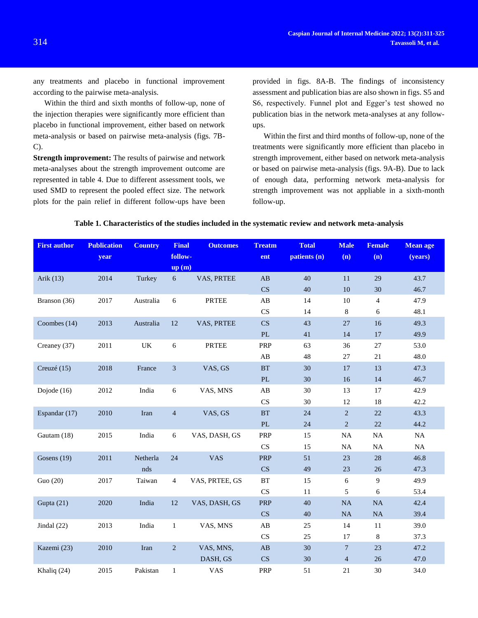any treatments and placebo in functional improvement according to the pairwise meta-analysis.

Within the third and sixth months of follow-up, none of the injection therapies were significantly more efficient than placebo in functional improvement, either based on network meta-analysis or based on pairwise meta-analysis (figs. 7B-C).

**Strength improvement:** The results of pairwise and network meta-analyses about the strength improvement outcome are represented in table 4. Due to different assessment tools, we used SMD to represent the pooled effect size. The network plots for the pain relief in different follow-ups have been

provided in figs. 8A-B. The findings of inconsistency assessment and publication bias are also shown in figs. S5 and S6, respectively. Funnel plot and Egger's test showed no publication bias in the network meta-analyses at any followups.

Within the first and third months of follow-up, none of the treatments were significantly more efficient than placebo in strength improvement, either based on network meta-analysis or based on pairwise meta-analysis (figs. 9A-B). Due to lack of enough data, performing network meta-analysis for strength improvement was not appliable in a sixth-month follow-up.

#### **First author Publication year Country Final followup (m) Outcomes Treatm ent Total patients (n) Male (n) Female (n) Mean age (years)** Arik (13) 2014 Turkey 6 VAS, PRTEE AB 40 11 29 43.7 CS 40 10 30 46.7 Branson (36) 2017 Australia 6 PRTEE AB 14 10 4 47.9 CS 14 8 6 48.1 Coombes (14) 2013 Australia 12 VAS, PRTEE CS 43 27 16 49.3 PL 41 14 17 49.9 Creaney (37) 2011 UK 6 PRTEE PRP 63 36 27 53.0 AB 48 27 21 48.0 Creuzé (15) 2018 France 3 VAS, GS BT 30 17 13 47.3 PL 30 16 14 46.7 Dojode (16) 2012 India 6 VAS, MNS AB 30 13 17 42.9 CS 30 12 18 42.2 Espandar (17) 2010 Iran 4 VAS, GS BT 24 2 22 43.3 PL 24 2 22 44.2 Gautam (18) 2015 India 6 VAS, DASH, GS PRP 15 NA NA NA CS 15 NA NA NA Gosens (19) 2011 Netherla nds 24 VAS PRP 51 23 28 46.8 CS 49 23 26 47.3 Guo (20) 2017 Taiwan 4 VAS, PRTEE, GS BT 15 6 9 49.9 CS 11 5 6 53.4 Gupta (21) 2020 India 12 VAS, DASH, GS PRP 40 NA NA 42.4 CS 40 NA NA 39.4 Jindal (22) 2013 India 1 VAS, MNS AB 25 14 11 39.0 CS 25 17 8 37.3 Kazemi (23) 2010 Iran 2 VAS, MNS, DASH, GS AB 30 7 23 47.2  $CS$  30 4 26 47.0 Khaliq (24) 2015 Pakistan 1 VAS PRP 51 21 30 34.0

### **Table 1. Characteristics of the studies included in the systematic review and network meta-analysis**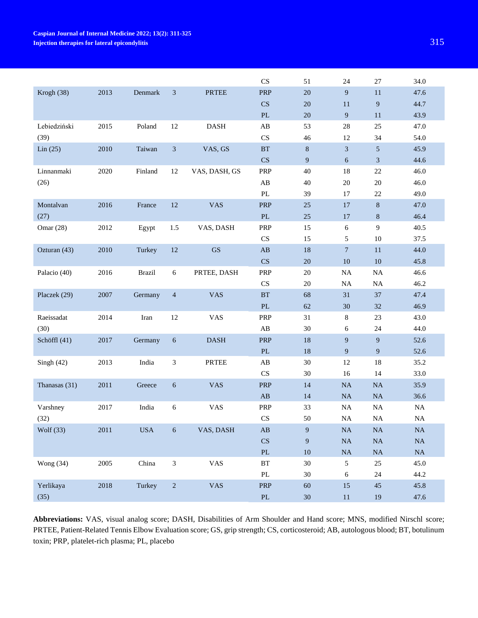|               |          |               |                  |                        | CS                     | 51               | 24             | 27               | 34.0     |
|---------------|----------|---------------|------------------|------------------------|------------------------|------------------|----------------|------------------|----------|
| Krogh (38)    | 2013     | Denmark       | 3                | <b>PRTEE</b>           | PRP                    | 20               | $\overline{9}$ | $11\,$           | 47.6     |
|               |          |               |                  |                        | CS                     | $20\,$           | 11             | $\overline{9}$   | 44.7     |
|               |          |               |                  |                        | $\mathbf{P}\mathbf{L}$ | 20               | 9              | 11               | 43.9     |
| Lebiedziński  | 2015     | Poland        | 12               | <b>DASH</b>            | $\mathbf{A}\mathbf{B}$ | 53               | $28\,$         | 25               | 47.0     |
| (39)          |          |               |                  |                        | $\mathbf{C}\mathbf{S}$ | 46               | 12             | 34               | 54.0     |
| Lin(25)       | 2010     | Taiwan        | $\mathfrak{Z}$   | VAS, GS                | $\operatorname{BT}$    | $8\,$            | $\sqrt{3}$     | $\sqrt{5}$       | 45.9     |
|               |          |               |                  |                        | CS                     | 9                | 6              | $\mathfrak{Z}$   | 44.6     |
| Linnanmaki    | 2020     | Finland       | 12               | VAS, DASH, GS          | PRP                    | 40               | 18             | 22               | 46.0     |
| (26)          |          |               |                  |                        | $\mathbf{A}\mathbf{B}$ | 40               | $20\,$         | $20\,$           | 46.0     |
|               |          |               |                  |                        | $\mathbf{P}\mathbf{L}$ | 39               | 17             | 22               | 49.0     |
| Montalvan     | 2016     | France        | $12\,$           | <b>VAS</b>             | PRP                    | 25               | 17             | $\,8\,$          | 47.0     |
| (27)          |          |               |                  |                        | $\mathbf{P}\mathbf{L}$ | 25               | 17             | $\,8\,$          | 46.4     |
| Omar $(28)$   | 2012     | Egypt         | 1.5              | VAS, DASH              | PRP                    | 15               | $\sqrt{6}$     | $\mathbf{9}$     | 40.5     |
|               |          |               |                  |                        | CS                     | 15               | 5              | $10\,$           | 37.5     |
| Ozturan (43)  | 2010     | Turkey        | $12\,$           | $\mathbf{G}\mathbf{S}$ | $\mathbf{A}\mathbf{B}$ | $18\,$           | $\overline{7}$ | 11               | 44.0     |
|               |          |               |                  |                        | CS                     | $20\,$           | 10             | $10\,$           | 45.8     |
| Palacio (40)  | 2016     | <b>Brazil</b> | 6                | PRTEE, DASH            | PRP                    | $20\,$           | <b>NA</b>      | NA               | 46.6     |
|               |          |               |                  |                        | $\mathbf{C}\mathbf{S}$ | $20\,$           | <b>NA</b>      | NA               | 46.2     |
| Placzek (29)  | 2007     | Germany       | $\overline{4}$   | <b>VAS</b>             | BT                     | 68               | 31             | 37               | 47.4     |
|               |          |               |                  |                        | $\mathbf{P}\mathbf{L}$ | $62\,$           | 30             | 32               | 46.9     |
| Raeissadat    | 2014     | Iran          | $12\,$           | VAS                    | PRP                    | 31               | $\,8\,$        | $23\,$           | 43.0     |
| (30)          |          |               |                  |                        | $\mathbf{A}\mathbf{B}$ | 30               | 6              | 24               | 44.0     |
| Schöffl (41)  | 2017     | Germany       | $6\,$            | <b>DASH</b>            | <b>PRP</b>             | 18               | 9              | $\boldsymbol{9}$ | 52.6     |
|               |          |               |                  |                        | $\mathbf{P}\mathbf{L}$ | $18\,$           | 9              | $\boldsymbol{9}$ | 52.6     |
| Singh $(42)$  | 2013     | India         | 3                | PRTEE                  | $\mathbf{A}\mathbf{B}$ | 30               | 12             | 18               | 35.2     |
|               |          |               |                  |                        | CS                     | 30               | 16             | 14               | 33.0     |
| Thanasas (31) | 2011     | Greece        | $\sqrt{6}$       | <b>VAS</b>             | PRP                    | $14\,$           | <b>NA</b>      | NA               | 35.9     |
|               |          |               |                  |                        | AB                     | 14               | $\rm NA$       | $\rm NA$         | 36.6     |
| Varshney      | 2017     | India         | 6                | <b>VAS</b>             | PRP                    | 33               | $\rm NA$       | $\rm NA$         | $\rm NA$ |
| (32)          |          |               |                  |                        | $\mathbf{C}\mathbf{S}$ | 50               | <b>NA</b>      | $\rm NA$         | $\rm NA$ |
| Wolf (33)     | 2011     | <b>USA</b>    | $\boldsymbol{6}$ | VAS, DASH              | $\mathbf{A}\mathbf{B}$ | $\overline{9}$   | $\rm NA$       | $\rm NA$         | $\rm NA$ |
|               |          |               |                  |                        | CS                     | $\boldsymbol{9}$ | $\rm NA$       | $\rm NA$         | $\rm NA$ |
|               |          |               |                  |                        | $\mathbf{PL}$          | $10\,$           | $\rm NA$       | $\rm NA$         | $\rm NA$ |
| Wong $(34)$   | $2005\,$ | China         | $\mathfrak{Z}$   | VAS                    | $\operatorname{BT}$    | $30\,$           | $\mathfrak{S}$ | $25\,$           | 45.0     |
|               |          |               |                  |                        | $\mathbf{PL}$          | $30\,$           | 6              | 24               | 44.2     |
| Yerlikaya     | 2018     | Turkey        | $\sqrt{2}$       | <b>VAS</b>             | PRP                    | 60               | 15             | $45\,$           | 45.8     |
| (35)          |          |               |                  |                        | $\mathbf{P}\mathbf{L}$ | $30\,$           | 11             | 19               | 47.6     |

**Abbreviations:** VAS, visual analog score; DASH, Disabilities of Arm Shoulder and Hand score; MNS, modified Nirschl score; PRTEE, Patient-Related Tennis Elbow Evaluation score; GS, grip strength; CS, corticosteroid; AB, autologous blood; BT, botulinum toxin; PRP, platelet-rich plasma; PL, placebo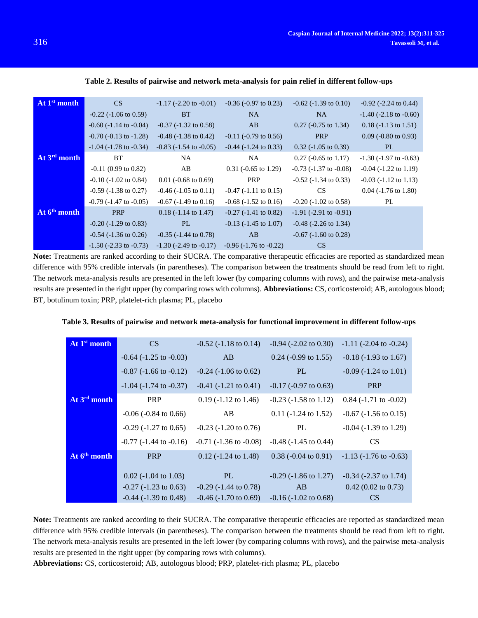| At 1 <sup>st</sup> month | CS                             | $-1.17$ ( $-2.20$ to $-0.01$ ) | $-0.36$ ( $-0.97$ to 0.23)     | $-0.62$ ( $-1.39$ to 0.10)     | $-0.92$ ( $-2.24$ to 0.44)     |
|--------------------------|--------------------------------|--------------------------------|--------------------------------|--------------------------------|--------------------------------|
|                          | $-0.22$ ( $-1.06$ to 0.59)     | <b>BT</b>                      | NA.                            | NA.                            | $-1.40$ ( $-2.18$ to $-0.60$ ) |
|                          | $-0.60$ ( $-1.14$ to $-0.04$ ) | $-0.37$ ( $-1.32$ to 0.58)     | AB                             | $0.27$ (-0.75 to 1.34)         | $0.18$ (-1.13 to 1.51)         |
|                          | $-0.70$ ( $-0.13$ to $-1.28$ ) | $-0.48$ ( $-1.38$ to 0.42)     | $-0.11$ ( $-0.79$ to 0.56)     | <b>PRP</b>                     | $0.09$ (-0.80 to 0.93)         |
|                          | $-1.04$ ( $-1.78$ to $-0.34$ ) | $-0.83$ ( $-1.54$ to $-0.05$ ) | $-0.44$ ( $-1.24$ to 0.33)     | $0.32$ (-1.05 to 0.39)         | PL                             |
| At 3rd month             | BT                             | NA.                            | NA.                            | $0.27$ (-0.65 to 1.17)         | $-1.30$ ( $-1.97$ to $-0.63$ ) |
|                          | $-0.11$ (0.99 to 0.82)         | AB                             | $0.31$ (-0.65 to 1.29)         | $-0.73$ $(-1.37$ to $-0.08$ )  | $-0.04$ ( $-1.22$ to 1.19)     |
|                          | $-0.10$ $(-1.02$ to $0.84)$    | $0.01$ (-0.68 to 0.69)         | <b>PRP</b>                     | $-0.52$ ( $-1.34$ to 0.33)     | $-0.03$ $(-1.12$ to $1.13)$    |
|                          | $-0.59$ ( $-1.38$ to 0.27)     | $-0.46$ ( $-1.05$ to $0.11$ )  | $-0.47$ ( $-1.11$ to $0.15$ )  | <b>CS</b>                      | $0.04$ (-1.76 to 1.80)         |
|                          | $-0.79$ ( $-1.47$ to $-0.05$ ) | $-0.67$ ( $-1.49$ to $0.16$ )  | $-0.68$ ( $-1.52$ to 0.16)     | $-0.20$ ( $-1.02$ to 0.58)     | PL                             |
| At 6 <sup>th</sup> month | <b>PRP</b>                     | $0.18$ (-1.14 to 1.47)         | $-0.27$ ( $-1.41$ to 0.82)     | $-1.91$ ( $-2.91$ to $-0.91$ ) |                                |
|                          | $-0.20$ ( $-1.29$ to 0.83)     | PL.                            | $-0.13$ $(-1.45$ to $1.07)$    | $-0.48$ ( $-2.26$ to 1.34)     |                                |
|                          | $-0.54$ ( $-1.36$ to 0.26)     | $-0.35$ ( $-1.44$ to 0.78)     | AB                             | $-0.67$ ( $-1.60$ to 0.28)     |                                |
|                          | $-1.50$ ( $-2.33$ to $-0.73$ ) | $-1.30$ ( $-2.49$ to $-0.17$ ) | $-0.96$ ( $-1.76$ to $-0.22$ ) | CS                             |                                |

**Table 2. Results of pairwise and network meta-analysis for pain relief in different follow-ups**

**Note:** Treatments are ranked according to their SUCRA. The comparative therapeutic efficacies are reported as standardized mean difference with 95% credible intervals (in parentheses). The comparison between the treatments should be read from left to right. The network meta-analysis results are presented in the left lower (by comparing columns with rows), and the pairwise meta-analysis results are presented in the right upper (by comparing rows with columns). **Abbreviations:** CS, corticosteroid; AB, autologous blood; BT, botulinum toxin; PRP, platelet-rich plasma; PL, placebo

| At 1 <sup>st</sup> month | CS                             | $-0.52$ ( $-1.18$ to $0.14$ )  | $-0.94$ $(-2.02 \text{ to } 0.30)$ | $-1.11$ ( $-2.04$ to $-0.24$ ) |
|--------------------------|--------------------------------|--------------------------------|------------------------------------|--------------------------------|
|                          | $-0.64$ ( $-1.25$ to $-0.03$ ) | AB                             | $0.24$ (-0.99 to 1.55)             | $-0.18$ ( $-1.93$ to 1.67)     |
|                          | $-0.87$ ( $-1.66$ to $-0.12$ ) | $-0.24$ ( $-1.06$ to 0.62)     | PL.                                | $-0.09$ ( $-1.24$ to $1.01$ )  |
|                          | $-1.04$ ( $-1.74$ to $-0.37$ ) | $-0.41$ ( $-1.21$ to $0.41$ )  | $-0.17$ ( $-0.97$ to 0.63)         | <b>PRP</b>                     |
| At 3rd month             | PRP                            | $0.19$ (-1.12 to 1.46)         | $-0.23$ ( $-1.58$ to 1.12)         | $0.84$ (-1.71 to -0.02)        |
|                          | $-0.06$ ( $-0.84$ to 0.66)     | AB                             | $0.11$ (-1.24 to 1.52)             | $-0.67$ ( $-1.56$ to $0.15$ )  |
|                          | $-0.29$ ( $-1.27$ to 0.65)     | $-0.23$ ( $-1.20$ to 0.76)     | PL                                 | $-0.04$ ( $-1.39$ to 1.29)     |
|                          | $-0.77$ ( $-1.44$ to $-0.16$ ) | $-0.71$ ( $-1.36$ to $-0.08$ ) | $-0.48$ ( $-1.45$ to 0.44)         | CS.                            |
| At 6 <sup>th</sup> month | <b>PRP</b>                     | $0.12$ (-1.24 to 1.48)         | $0.38$ (-0.04 to 0.91)             | $-1.13$ ( $-1.76$ to $-0.63$ ) |
|                          | $0.02$ ( $-1.04$ to 1.03)      | PL.                            | $-0.29$ ( $-1.86$ to 1.27)         | $-0.34$ ( $-2.37$ to 1.74)     |
|                          |                                |                                |                                    |                                |
|                          | $-0.27$ ( $-1.23$ to 0.63)     | $-0.29$ ( $-1.44$ to 0.78)     | AB.                                | $0.42$ (0.02 to 0.73)          |
|                          | $-0.44$ ( $-1.39$ to 0.48)     | $-0.46$ ( $-1.70$ to 0.69)     | $-0.16$ ( $-1.02$ to 0.68)         | <b>CS</b>                      |

**Table 3. Results of pairwise and network meta-analysis for functional improvement in different follow-ups**

**Note:** Treatments are ranked according to their SUCRA. The comparative therapeutic efficacies are reported as standardized mean difference with 95% credible intervals (in parentheses). The comparison between the treatments should be read from left to right. The network meta-analysis results are presented in the left lower (by comparing columns with rows), and the pairwise meta-analysis results are presented in the right upper (by comparing rows with columns).

**Abbreviations:** CS, corticosteroid; AB, autologous blood; PRP, platelet-rich plasma; PL, placebo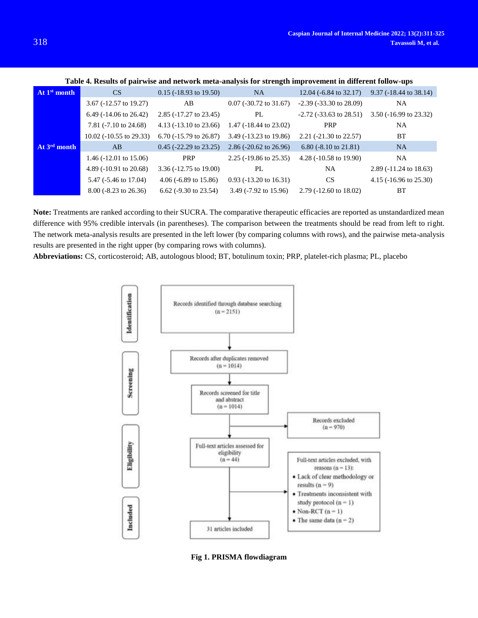| At 1 <sup>st</sup> month | CS                                | $0.15$ ( $-18.93$ to 19.50)       | NA.                               | $12.04$ (-6.84 to 32.17)        | $9.37$ (-18.44 to 38.14)       |
|--------------------------|-----------------------------------|-----------------------------------|-----------------------------------|---------------------------------|--------------------------------|
|                          | 3.67 (-12.57 to 19.27)            | AB                                | $0.07$ (-30.72 to 31.67)          | $-2.39$ ( $-33.30$ to 28.09)    | NA                             |
|                          | 6.49 $(-14.06 \text{ to } 26.42)$ | $2.85$ (-17.27 to 23.45)          | PL                                | $-2.72$ ( $-33.63$ to $28.51$ ) | $3.50$ ( $-16.99$ to $23.32$ ) |
|                          | 7.81 $(-7.10 \text{ to } 24.68)$  | 4.13 $(-13.10 \text{ to } 23.66)$ | 1.47 $(-18.44 \text{ to } 23.02)$ | <b>PRP</b>                      | NA                             |
|                          | $10.02$ (-10.55 to 29.33)         | $6.70$ ( $-15.79$ to 26.87)       | $3.49$ ( $-13.23$ to 19.86)       | $2.21$ (-21.30 to 22.57)        | BT                             |
| At 3 <sup>rd</sup> month | AB                                | $0.45$ (-22.29 to 23.25)          | 2.86 $(-20.62 \text{ to } 26.96)$ | $6.80$ (-8.10 to 21.81)         | <b>NA</b>                      |
|                          | 1.46 $(-12.01 \text{ to } 15.06)$ | <b>PRP</b>                        | $2.25$ (-19.86 to 25.35)          | 4.28 (-10.58 to 19.90)          | NA                             |
|                          | 4.89 $(-10.91 \text{ to } 20.68)$ | $3.36 (-12.75 \text{ to } 19.00)$ | PL                                | NA                              | 2.89 (-11.24 to 18.63)         |
|                          | 5.47 (-5.46 to 17.04)             | 4.06 $(-6.89 \text{ to } 15.86)$  | $0.93$ ( $-13.20$ to 16.31)       | <b>CS</b>                       | $4.15$ ( $-16.96$ to $25.30$ ) |
|                          | $8.00$ (-8.23 to 26.36)           | $6.62$ (-9.30 to 23.54)           | 3.49 $(-7.92 \text{ to } 15.96)$  | $2.79$ (-12.60 to 18.02)        | <b>BT</b>                      |

**Table 4. Results of pairwise and network meta-analysis for strength improvement in different follow-ups**

**Note:** Treatments are ranked according to their SUCRA. The comparative therapeutic efficacies are reported as unstandardized mean difference with 95% credible intervals (in parentheses). The comparison between the treatments should be read from left to right. The network meta-analysis results are presented in the left lower (by comparing columns with rows), and the pairwise meta-analysis results are presented in the right upper (by comparing rows with columns).

**Abbreviations:** CS, corticosteroid; AB, autologous blood; BT, botulinum toxin; PRP, platelet-rich plasma; PL, placebo



**Fig 1. PRISMA flowdiagram**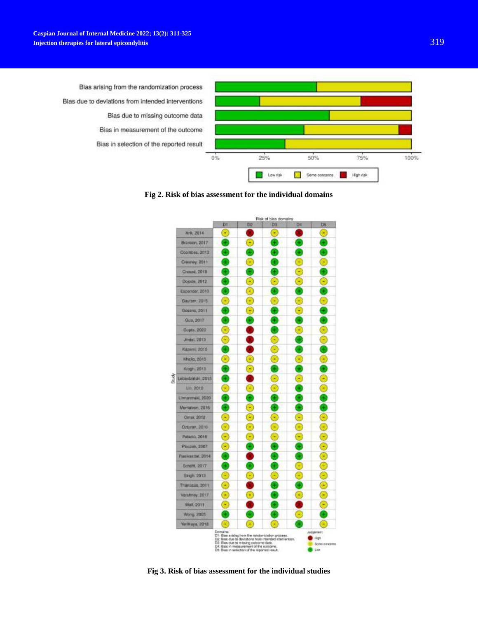

**Fig 2. Risk of bias assessment for the individual domains**



**Fig 3. Risk of bias assessment for the individual studies**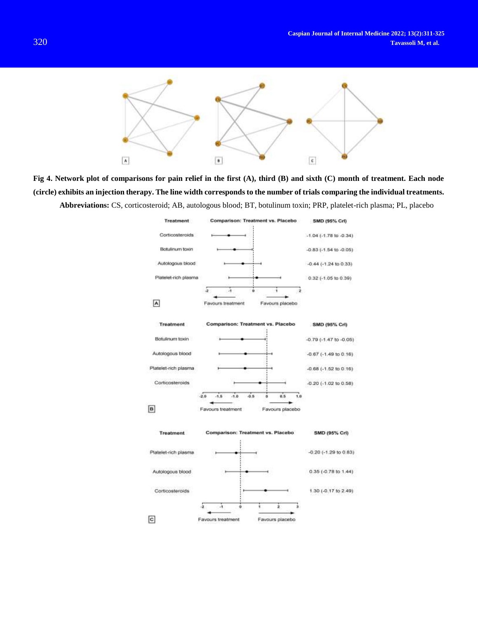

**Fig 4. Network plot of comparisons for pain relief in the first (A), third (B) and sixth (C) month of treatment. Each node (circle) exhibits an injection therapy. The line width corresponds to the number of trials comparing the individual treatments. Abbreviations:** CS, corticosteroid; AB, autologous blood; BT, botulinum toxin; PRP, platelet-rich plasma; PL, placebo

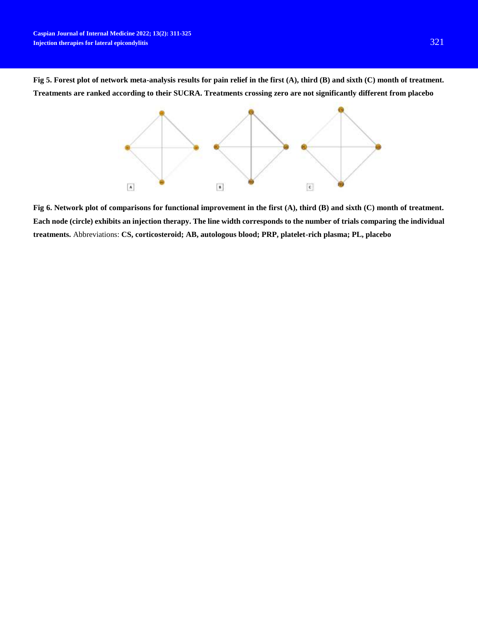**Fig 5. Forest plot of network meta-analysis results for pain relief in the first (A), third (B) and sixth (C) month of treatment. Treatments are ranked according to their SUCRA. Treatments crossing zero are not significantly different from placebo**



**Fig 6. Network plot of comparisons for functional improvement in the first (A), third (B) and sixth (C) month of treatment. Each node (circle) exhibits an injection therapy. The line width corresponds to the number of trials comparing the individual treatments.** Abbreviations: **CS, corticosteroid; AB, autologous blood; PRP, platelet-rich plasma; PL, placebo**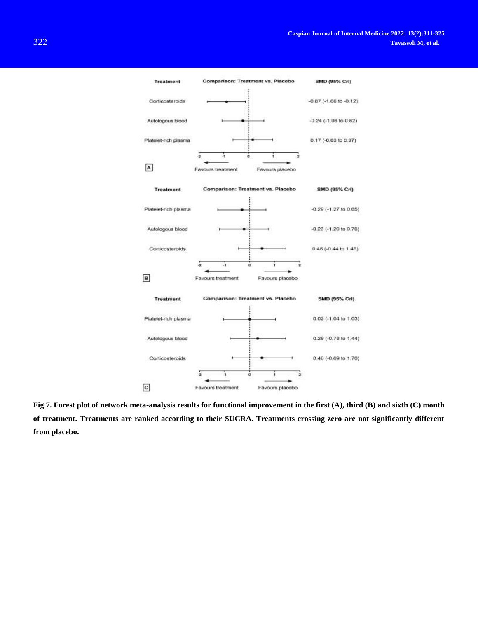

**Fig 7. Forest plot of network meta-analysis results for functional improvement in the first (A), third (B) and sixth (C) month of treatment. Treatments are ranked according to their SUCRA. Treatments crossing zero are not significantly different from placebo.**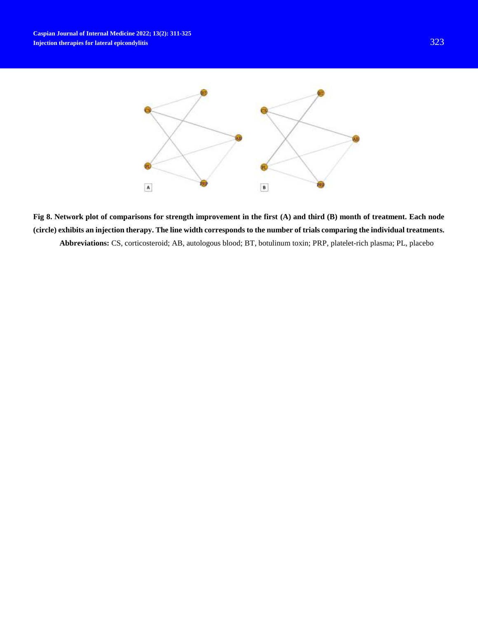

**Fig 8. Network plot of comparisons for strength improvement in the first (A) and third (B) month of treatment. Each node (circle) exhibits an injection therapy. The line width corresponds to the number of trials comparing the individual treatments. Abbreviations:** CS, corticosteroid; AB, autologous blood; BT, botulinum toxin; PRP, platelet-rich plasma; PL, placebo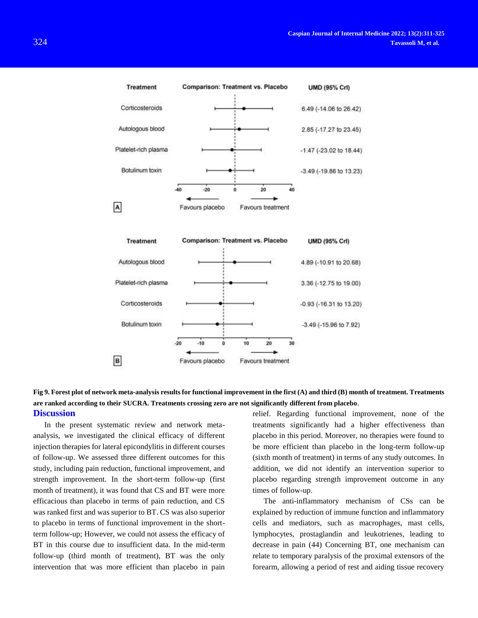

# **Fig 9. Forest plot of network meta-analysis results for functional improvement in the first (A) and third (B) month of treatment. Treatments are ranked according to their SUCRA. Treatments crossing zero are not significantly different from placebo**. **Discussion**

In the present systematic review and network metaanalysis, we investigated the clinical efficacy of different injection therapies for lateral epicondylitis in different courses of follow-up. We assessed three different outcomes for this study, including pain reduction, functional improvement, and strength improvement. In the short-term follow-up (first month of treatment), it was found that CS and BT were more efficacious than placebo in terms of pain reduction, and CS was ranked first and was superior to BT. CS was also superior to placebo in terms of functional improvement in the shortterm follow-up; However, we could not assess the efficacy of BT in this course due to insufficient data. In the mid-term follow-up (third month of treatment), BT was the only intervention that was more efficient than placebo in pain relief. Regarding functional improvement, none of the treatments significantly had a higher effectiveness than placebo in this period. Moreover, no therapies were found to be more efficient than placebo in the long-term follow-up (sixth month of treatment) in terms of any study outcomes. In addition, we did not identify an intervention superior to placebo regarding strength improvement outcome in any times of follow-up.

The anti-inflammatory mechanism of CSs can be explained by reduction of immune function and inflammatory cells and mediators, such as macrophages, mast cells, lymphocytes, prostaglandin and leukotrienes, leading to decrease in pain (44) Concerning BT, one mechanism can relate to temporary paralysis of the proximal extensors of the forearm, allowing a period of rest and aiding tissue recovery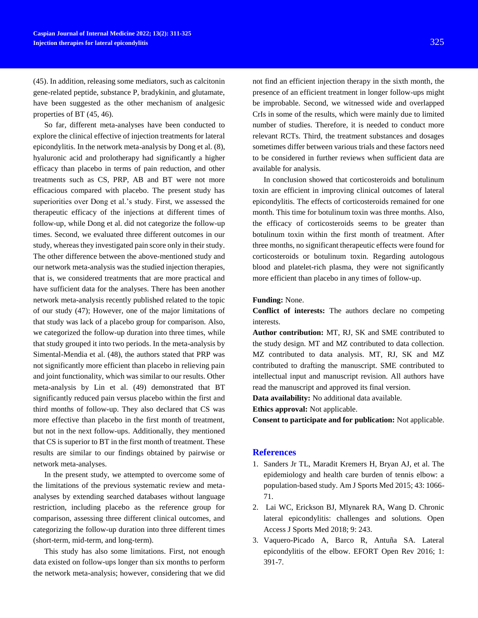(45). In addition, releasing some mediators, such as calcitonin gene-related peptide, substance P, bradykinin, and glutamate, have been suggested as the other mechanism of analgesic properties of BT (45, 46).

So far, different meta-analyses have been conducted to explore the clinical effective of injection treatments for lateral epicondylitis. In the network meta-analysis by Dong et al. (8), hyaluronic acid and prolotherapy had significantly a higher efficacy than placebo in terms of pain reduction, and other treatments such as CS, PRP, AB and BT were not more efficacious compared with placebo. The present study has superiorities over Dong et al.'s study. First, we assessed the therapeutic efficacy of the injections at different times of follow-up, while Dong et al. did not categorize the follow-up times. Second, we evaluated three different outcomes in our study, whereas they investigated pain score only in their study. The other difference between the above-mentioned study and our network meta-analysis was the studied injection therapies, that is, we considered treatments that are more practical and have sufficient data for the analyses. There has been another network meta-analysis recently published related to the topic of our study (47); However, one of the major limitations of that study was lack of a placebo group for comparison. Also, we categorized the follow-up duration into three times, while that study grouped it into two periods. In the meta-analysis by Simental-Mendia et al. (48), the authors stated that PRP was not significantly more efficient than placebo in relieving pain and joint functionality, which was similar to our results. Other meta-analysis by Lin et al. (49) demonstrated that BT significantly reduced pain versus placebo within the first and third months of follow-up. They also declared that CS was more effective than placebo in the first month of treatment, but not in the next follow-ups. Additionally, they mentioned that CS is superior to BT in the first month of treatment. These results are similar to our findings obtained by pairwise or network meta-analyses.

In the present study, we attempted to overcome some of the limitations of the previous systematic review and metaanalyses by extending searched databases without language restriction, including placebo as the reference group for comparison, assessing three different clinical outcomes, and categorizing the follow-up duration into three different times (short-term, mid-term, and long-term).

This study has also some limitations. First, not enough data existed on follow-ups longer than six months to perform the network meta-analysis; however, considering that we did

not find an efficient injection therapy in the sixth month, the presence of an efficient treatment in longer follow-ups might be improbable. Second, we witnessed wide and overlapped CrIs in some of the results, which were mainly due to limited number of studies. Therefore, it is needed to conduct more relevant RCTs. Third, the treatment substances and dosages sometimes differ between various trials and these factors need to be considered in further reviews when sufficient data are available for analysis.

In conclusion showed that corticosteroids and botulinum toxin are efficient in improving clinical outcomes of lateral epicondylitis. The effects of corticosteroids remained for one month. This time for botulinum toxin was three months. Also, the efficacy of corticosteroids seems to be greater than botulinum toxin within the first month of treatment. After three months, no significant therapeutic effects were found for corticosteroids or botulinum toxin. Regarding autologous blood and platelet-rich plasma, they were not significantly more efficient than placebo in any times of follow-up.

#### **Funding:** None.

**Conflict of interests:** The authors declare no competing interests.

**Author contribution:** MT, RJ, SK and SME contributed to the study design. MT and MZ contributed to data collection. MZ contributed to data analysis. MT, RJ, SK and MZ contributed to drafting the manuscript. SME contributed to intellectual input and manuscript revision. All authors have read the manuscript and approved its final version.

**Data availability:** No additional data available.

**Ethics approval:** Not applicable.

**Consent to participate and for publication:** Not applicable.

### **References**

- 1. Sanders Jr TL, Maradit Kremers H, Bryan AJ, et al. The epidemiology and health care burden of tennis elbow: a population-based study. Am J Sports Med 2015; 43: 1066- 71.
- 2. Lai WC, Erickson BJ, Mlynarek RA, Wang D. Chronic lateral epicondylitis: challenges and solutions. Open Access J Sports Med 2018; 9: 243.
- 3. Vaquero-Picado A, Barco R, Antuña SA. Lateral epicondylitis of the elbow. EFORT Open Rev 2016; 1: 391-7.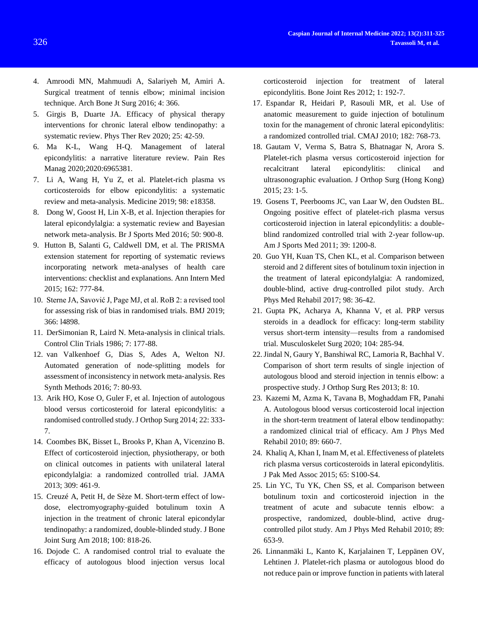- 4. Amroodi MN, Mahmuudi A, Salariyeh M, Amiri A. Surgical treatment of tennis elbow; minimal incision technique. Arch Bone Jt Surg 2016; 4: 366.
- 5. Girgis B, Duarte JA. Efficacy of physical therapy interventions for chronic lateral elbow tendinopathy: a systematic review. Phys Ther Rev 2020; 25: 42-59.
- 6. Ma K-L, Wang H-Q. Management of lateral epicondylitis: a narrative literature review. Pain Res Manag 2020;2020:6965381.
- 7. Li A, Wang H, Yu Z, et al. Platelet-rich plasma vs corticosteroids for elbow epicondylitis: a systematic review and meta-analysis. Medicine 2019; 98: e18358.
- 8. Dong W, Goost H, Lin X-B, et al. Injection therapies for lateral epicondylalgia: a systematic review and Bayesian network meta-analysis. Br J Sports Med 2016; 50: 900-8.
- 9. Hutton B, Salanti G, Caldwell DM, et al. The PRISMA extension statement for reporting of systematic reviews incorporating network meta-analyses of health care interventions: checklist and explanations. Ann Intern Med 2015; 162: 777-84.
- 10. Sterne JA, Savović J, Page MJ, et al. RoB 2: a revised tool for assessing risk of bias in randomised trials. BMJ 2019; 366: l4898.
- 11. DerSimonian R, Laird N. Meta-analysis in clinical trials. Control Clin Trials 1986; 7: 177-88.
- 12. van Valkenhoef G, Dias S, Ades A, Welton NJ. Automated generation of node‐splitting models for assessment of inconsistency in network meta‐analysis. Res Synth Methods 2016; 7: 80-93.
- 13. Arik HO, Kose O, Guler F, et al. Injection of autologous blood versus corticosteroid for lateral epicondylitis: a randomised controlled study. J Orthop Surg 2014; 22: 333- 7.
- 14. Coombes BK, Bisset L, Brooks P, Khan A, Vicenzino B. Effect of corticosteroid injection, physiotherapy, or both on clinical outcomes in patients with unilateral lateral epicondylalgia: a randomized controlled trial. JAMA 2013; 309: 461-9.
- 15. Creuzé A, Petit H, de Sèze M. Short-term effect of lowdose, electromyography-guided botulinum toxin A injection in the treatment of chronic lateral epicondylar tendinopathy: a randomized, double-blinded study. J Bone Joint Surg Am 2018; 100: 818-26.
- 16. Dojode C. A randomised control trial to evaluate the efficacy of autologous blood injection versus local

corticosteroid injection for treatment of lateral epicondylitis. Bone Joint Res 2012; 1: 192-7.

- 17. Espandar R, Heidari P, Rasouli MR, et al. Use of anatomic measurement to guide injection of botulinum toxin for the management of chronic lateral epicondylitis: a randomized controlled trial. CMAJ 2010; 182: 768-73.
- 18. Gautam V, Verma S, Batra S, Bhatnagar N, Arora S. Platelet-rich plasma versus corticosteroid injection for recalcitrant lateral epicondylitis: clinical and ultrasonographic evaluation. J Orthop Surg (Hong Kong) 2015; 23: 1-5.
- 19. Gosens T, Peerbooms JC, van Laar W, den Oudsten BL. Ongoing positive effect of platelet-rich plasma versus corticosteroid injection in lateral epicondylitis: a doubleblind randomized controlled trial with 2-year follow-up. Am J Sports Med 2011; 39: 1200-8.
- 20. Guo YH, Kuan TS, Chen KL, et al. Comparison between steroid and 2 different sites of botulinum toxin injection in the treatment of lateral epicondylalgia: A randomized, double-blind, active drug-controlled pilot study. Arch Phys Med Rehabil 2017; 98: 36-42.
- 21. Gupta PK, Acharya A, Khanna V, et al. PRP versus steroids in a deadlock for efficacy: long-term stability versus short-term intensity—results from a randomised trial. Musculoskelet Surg 2020; 104: 285-94.
- 22.Jindal N, Gaury Y, Banshiwal RC, Lamoria R, Bachhal V. Comparison of short term results of single injection of autologous blood and steroid injection in tennis elbow: a prospective study. J Orthop Surg Res 2013; 8: 10.
- 23. Kazemi M, Azma K, Tavana B, Moghaddam FR, Panahi A. Autologous blood versus corticosteroid local injection in the short-term treatment of lateral elbow tendinopathy: a randomized clinical trial of efficacy. Am J Phys Med Rehabil 2010; 89: 660-7.
- 24. Khaliq A, Khan I, Inam M, et al. Effectiveness of platelets rich plasma versus corticosteroids in lateral epicondylitis. J Pak Med Assoc 2015; 65: S100-S4.
- 25. Lin YC, Tu YK, Chen SS, et al. Comparison between botulinum toxin and corticosteroid injection in the treatment of acute and subacute tennis elbow: a prospective, randomized, double-blind, active drugcontrolled pilot study. Am J Phys Med Rehabil 2010; 89: 653-9.
- 26. Linnanmäki L, Kanto K, Karjalainen T, Leppänen OV, Lehtinen J. Platelet-rich plasma or autologous blood do not reduce pain or improve function in patients with lateral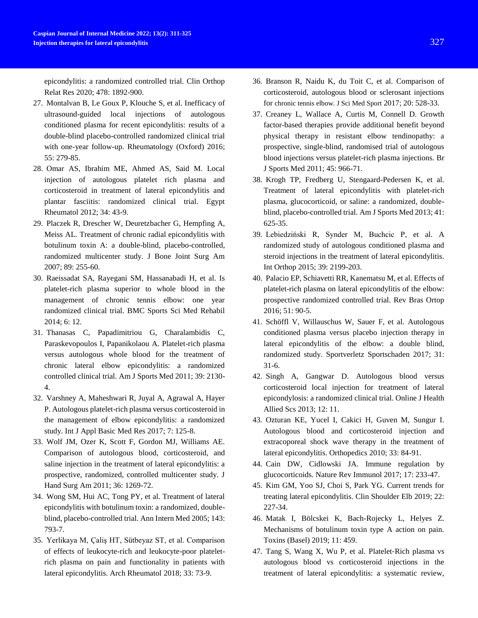epicondylitis: a randomized controlled trial. Clin Orthop Relat Res 2020; 478: 1892-900.

- 27. Montalvan B, Le Goux P, Klouche S, et al. Inefficacy of ultrasound-guided local injections of autologous conditioned plasma for recent epicondylitis: results of a double-blind placebo-controlled randomized clinical trial with one-year follow-up. Rheumatology (Oxford) 2016; 55: 279-85.
- 28. Omar AS, Ibrahim ME, Ahmed AS, Said M. Local injection of autologous platelet rich plasma and corticosteroid in treatment of lateral epicondylitis and plantar fasciitis: randomized clinical trial. Egypt Rheumatol 2012; 34: 43-9.
- 29. Placzek R, Drescher W, Deuretzbacher G, Hempfing A, Meiss AL. Treatment of chronic radial epicondylitis with botulinum toxin A: a double-blind, placebo-controlled, randomized multicenter study. J Bone Joint Surg Am 2007; 89: 255-60.
- 30. Raeissadat SA, Rayegani SM, Hassanabadi H, et al. Is platelet-rich plasma superior to whole blood in the management of chronic tennis elbow: one year randomized clinical trial. BMC Sports Sci Med Rehabil 2014; 6: 12.
- 31. Thanasas C, Papadimitriou G, Charalambidis C, Paraskevopoulos I, Papanikolaou A. Platelet-rich plasma versus autologous whole blood for the treatment of chronic lateral elbow epicondylitis: a randomized controlled clinical trial. Am J Sports Med 2011; 39: 2130- 4.
- 32. Varshney A, Maheshwari R, Juyal A, Agrawal A, Hayer P. Autologous platelet-rich plasma versus corticosteroid in the management of elbow epicondylitis: a randomized study. Int J Appl Basic Med Res 2017; 7: 125-8.
- 33. Wolf JM, Ozer K, Scott F, Gordon MJ, Williams AE. Comparison of autologous blood, corticosteroid, and saline injection in the treatment of lateral epicondylitis: a prospective, randomized, controlled multicenter study. J Hand Surg Am 2011; 36: 1269-72.
- 34. Wong SM, Hui AC, Tong PY, et al. Treatment of lateral epicondylitis with botulinum toxin: a randomized, doubleblind, placebo-controlled trial. Ann Intern Med 2005; 143: 793-7.
- 35. Yerlikaya M, Çaliş HT, Sütbeyaz ST, et al. Comparison of effects of leukocyte-rich and leukocyte-poor plateletrich plasma on pain and functionality in patients with lateral epicondylitis. Arch Rheumatol 2018; 33: 73-9.
- 36. Branson R, Naidu K, du Toit C, et al. Comparison of corticosteroid, autologous blood or sclerosant injections for chronic tennis elbow. J Sci Med Sport 2017; 20: 528-33.
- 37. Creaney L, Wallace A, Curtis M, Connell D. Growth factor-based therapies provide additional benefit beyond physical therapy in resistant elbow tendinopathy: a prospective, single-blind, randomised trial of autologous blood injections versus platelet-rich plasma injections. Br J Sports Med 2011; 45: 966-71.
- 38. Krogh TP, Fredberg U, Stengaard-Pedersen K, et al. Treatment of lateral epicondylitis with platelet-rich plasma, glucocorticoid, or saline: a randomized, doubleblind, placebo-controlled trial. Am J Sports Med 2013; 41: 625-35.
- 39. Lebiedziński R, Synder M, Buchcic P, et al. A randomized study of autologous conditioned plasma and steroid injections in the treatment of lateral epicondylitis. Int Orthop 2015; 39: 2199-203.
- 40. Palacio EP, Schiavetti RR, Kanematsu M, et al. Effects of platelet-rich plasma on lateral epicondylitis of the elbow: prospective randomized controlled trial. Rev Bras Ortop 2016; 51: 90-5.
- 41. Schöffl V, Willauschus W, Sauer F, et al. Autologous conditioned plasma versus placebo injection therapy in lateral epicondylitis of the elbow: a double blind, randomized study. Sportverletz Sportschaden 2017; 31: 31-6.
- 42. Singh A, Gangwar D. Autologous blood versus corticosteroid local injection for treatment of lateral epicondylosis: a randomized clinical trial. Online J Health Allied Scs 2013; 12: 11.
- 43. Ozturan KE, Yucel I, Cakici H, Guven M, Sungur I. Autologous blood and corticosteroid injection and extracoporeal shock wave therapy in the treatment of lateral epicondylitis. Orthopedics 2010; 33: 84-91.
- 44. Cain DW, Cidlowski JA. Immune regulation by glucocorticoids. Nature Rev Immunol 2017; 17: 233-47.
- 45. Kim GM, Yoo SJ, Choi S, Park YG. Current trends for treating lateral epicondylitis. Clin Shoulder Elb 2019; 22: 227-34.
- 46. Matak I, Bölcskei K, Bach-Rojecky L, Helyes Z. Mechanisms of botulinum toxin type A action on pain. Toxins (Basel) 2019; 11: 459.
- 47. Tang S, Wang X, Wu P, et al. Platelet‐Rich plasma vs autologous blood vs corticosteroid injections in the treatment of lateral epicondylitis: a systematic review,